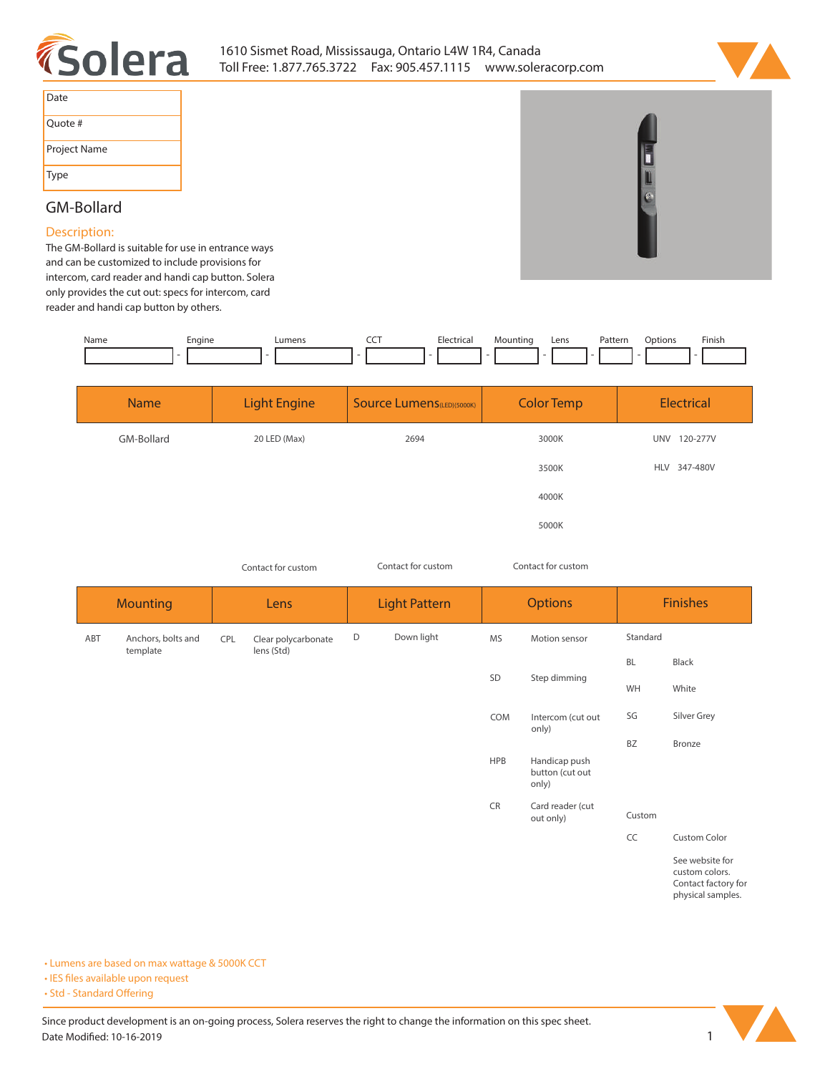



| Date         |
|--------------|
| Quote #      |
| Project Name |
| Type         |

## **GM-Bollard**

## **Description:**

**The GM-Bollard is suitable for use in entrance ways and can be customized to include provisions for intercom, card reader and handi cap button. Solera only provides the cut out: specs for intercom, card reader and handi cap button by others.** 

| Name | cngine | umen. | --- | Electrica<br>. | *≏untino | Lens | Pattern<br>. | otion:<br>)n | <b>Finish</b> |
|------|--------|-------|-----|----------------|----------|------|--------------|--------------|---------------|
|      |        |       |     |                |          |      |              |              |               |

| <b>Name</b> | <b>Light Engine</b> | <b>Source Lumens</b> (LED)(5000K) | <b>Color Temp</b> | Electrical             |  |
|-------------|---------------------|-----------------------------------|-------------------|------------------------|--|
| GM-Bollard  | 20 LED (Max)        | 2694                              | 3000K             | <b>UNV</b><br>120-277V |  |
|             |                     |                                   | 3500K             | HLV 347-480V           |  |
|             |                     |                                   | 4000K             |                        |  |
|             |                     |                                   | 5000K             |                        |  |

*Contact for custom Contact for custom*

*Contact for custom*

| <b>Mounting</b> |                                | Lens |                                   | <b>Light Pattern</b> |            | <b>Options</b> |                                           | <b>Finishes</b> |                                                                               |
|-----------------|--------------------------------|------|-----------------------------------|----------------------|------------|----------------|-------------------------------------------|-----------------|-------------------------------------------------------------------------------|
| ABT             | Anchors, bolts and<br>template | CPL  | Clear polycarbonate<br>lens (Std) | D                    | Down light | MS             | Motion sensor                             | Standard        |                                                                               |
|                 |                                |      |                                   |                      |            |                | Step dimming                              | <b>BL</b>       | Black                                                                         |
|                 |                                |      |                                   |                      |            | SD             |                                           | WH              | White                                                                         |
|                 |                                |      |                                   |                      |            | COM            | Intercom (cut out<br>only)                | SG              | Silver Grey                                                                   |
|                 |                                |      |                                   |                      |            |                |                                           | <b>BZ</b>       | Bronze                                                                        |
|                 |                                |      |                                   |                      |            | <b>HPB</b>     | Handicap push<br>button (cut out<br>only) |                 |                                                                               |
|                 |                                |      |                                   |                      |            | <b>CR</b>      | Card reader (cut<br>out only)             | Custom          |                                                                               |
|                 |                                |      |                                   |                      |            |                |                                           | CC              | Custom Color                                                                  |
|                 |                                |      |                                   |                      |            |                |                                           |                 | See website for<br>custom colors.<br>Contact factory for<br>physical samples. |

**• Lumens are based on max wattage & 5000K CCT**

**• IES files available upon request** 

• Std - Standard Offering

Since product development is an on-going process, Solera reserves the right to change the information on this spec sheet. **Date Modified: 10-16-2019** 1